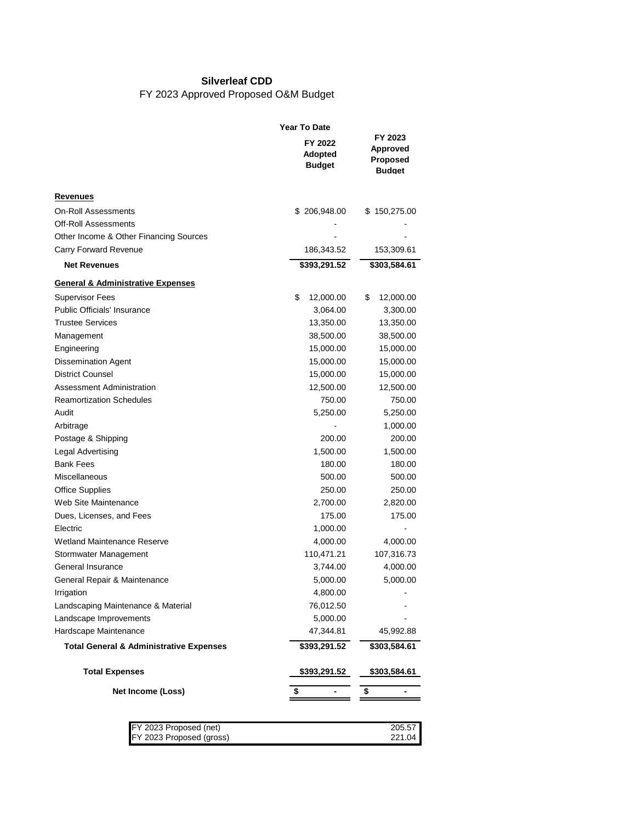## **Silverleaf CDD**

## FY 2023 Approved Proposed O&M Budget

|                                                         | <b>Year To Date</b>                        |                                                    |
|---------------------------------------------------------|--------------------------------------------|----------------------------------------------------|
| FY 2023<br><b>Approved</b><br>Proposed<br><b>Budget</b> | FY 2022<br><b>Adopted</b><br><b>Budget</b> |                                                    |
|                                                         |                                            | Revenues                                           |
| \$150,275.00                                            | \$206,948.00                               | <b>On-Roll Assessments</b>                         |
|                                                         |                                            | Off-Roll Assessments                               |
|                                                         |                                            | Other Income & Other Financing Sources             |
| 153,309.61                                              | 186,343.52                                 | Carry Forward Revenue                              |
| \$303,584.61                                            | \$393,291.52                               | <b>Net Revenues</b>                                |
|                                                         |                                            | <b>General &amp; Administrative Expenses</b>       |
| \$<br>12,000.00                                         | \$<br>12,000.00                            | Supervisor Fees                                    |
| 3,300.00                                                | 3,064.00                                   | <b>Public Officials' Insurance</b>                 |
| 13,350.00                                               | 13,350.00                                  | <b>Trustee Services</b>                            |
| 38,500.00                                               | 38,500.00                                  | Management                                         |
| 15,000.00                                               | 15,000.00                                  | Engineering                                        |
| 15,000.00                                               | 15,000.00                                  | <b>Dissemination Agent</b>                         |
| 15,000.00                                               | 15,000.00                                  | <b>District Counsel</b>                            |
| 12,500.00                                               | 12,500.00                                  | Assessment Administration                          |
| 750.00                                                  | 750.00                                     | <b>Reamortization Schedules</b>                    |
| 5,250.00                                                | 5,250.00                                   | Audit                                              |
| 1,000.00                                                |                                            | Arbitrage                                          |
| 200.00                                                  | 200.00                                     | Postage & Shipping                                 |
| 1,500.00                                                | 1,500.00                                   | Legal Advertising                                  |
| 180.00                                                  | 180.00                                     | <b>Bank Fees</b>                                   |
| 500.00                                                  | 500.00                                     | Miscellaneous                                      |
| 250.00                                                  | 250.00                                     | <b>Office Supplies</b>                             |
| 2,820.00                                                | 2,700.00                                   | Web Site Maintenance                               |
| 175.00                                                  | 175.00                                     | Dues, Licenses, and Fees                           |
| ٠                                                       | 1,000.00                                   | Electric                                           |
| 4,000.00                                                | 4,000.00                                   | Wetland Maintenance Reserve                        |
| 107,316.73                                              | 110,471.21                                 | Stormwater Management                              |
| 4,000.00                                                | 3,744.00                                   | General Insurance                                  |
| 5,000.00                                                | 5,000.00                                   | General Repair & Maintenance                       |
|                                                         | 4,800.00                                   | Irrigation                                         |
|                                                         | 76,012.50                                  | Landscaping Maintenance & Material                 |
|                                                         | 5,000.00                                   | Landscape Improvements                             |
| 45,992.88                                               | 47,344.81                                  | Hardscape Maintenance                              |
| \$303,584.61                                            | \$393,291.52                               | <b>Total General &amp; Administrative Expenses</b> |
| <u>\$303,584.61</u>                                     | <u>\$393,291.52</u>                        | <b>Total Expenses</b>                              |
| \$                                                      | \$                                         | Net Income (Loss)                                  |
|                                                         |                                            | FY 2023 Proposed (net)<br>FY 2023 Proposed (gross) |